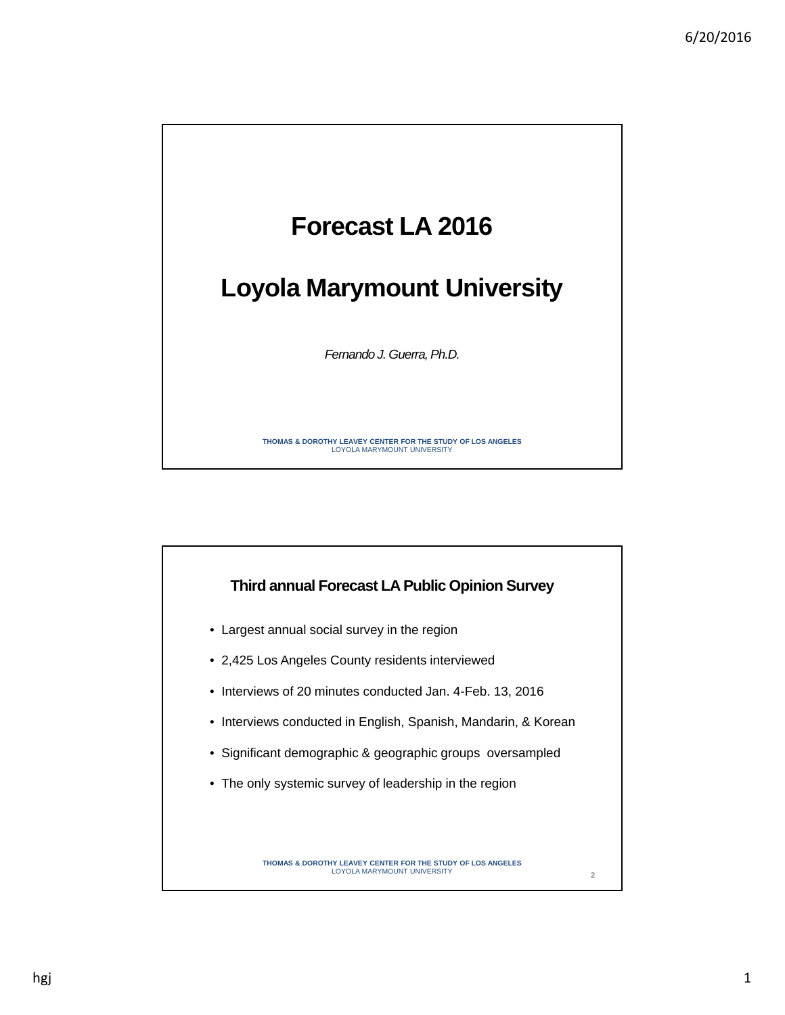

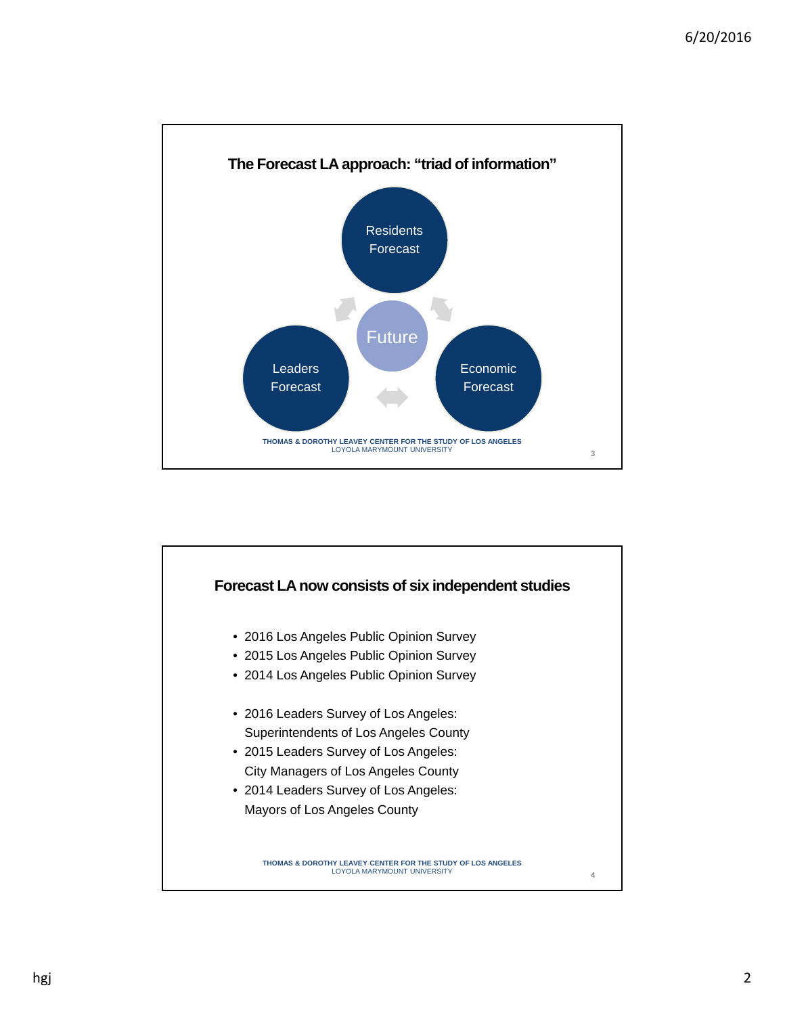

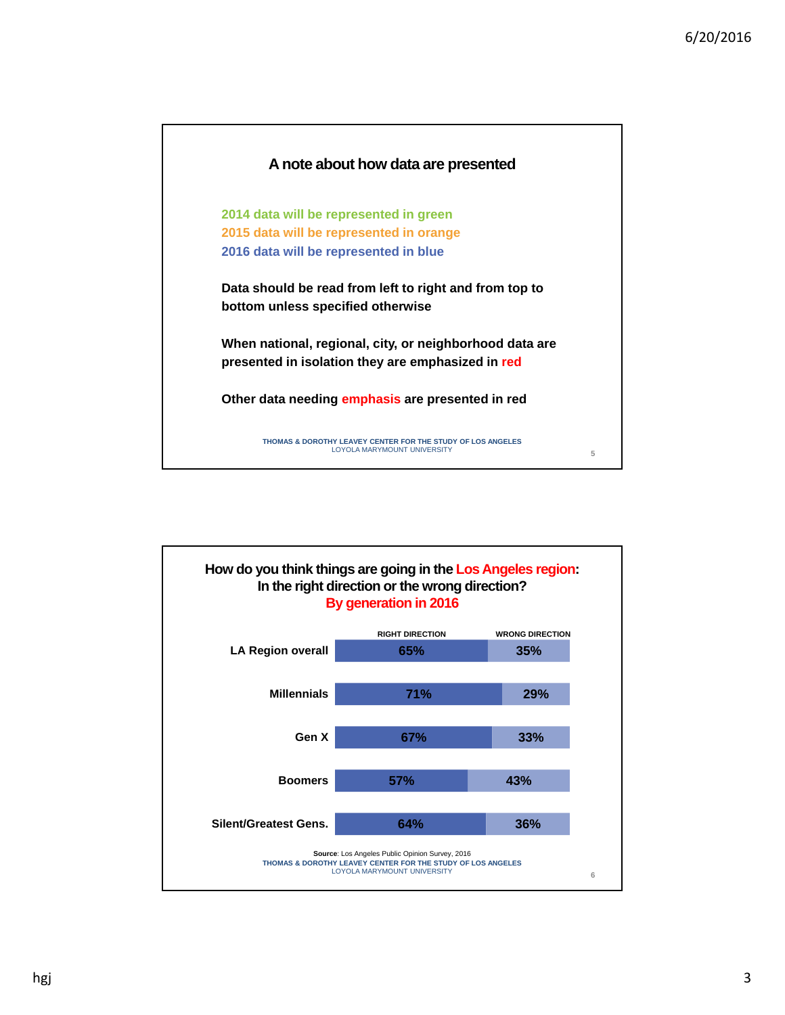

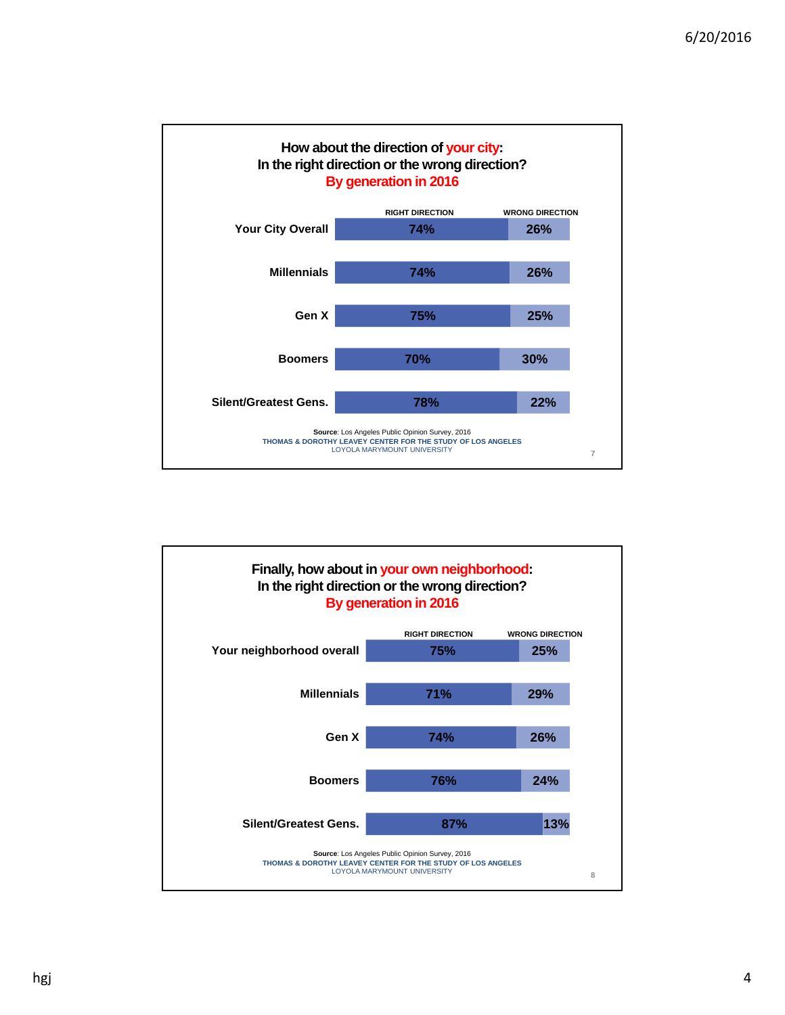

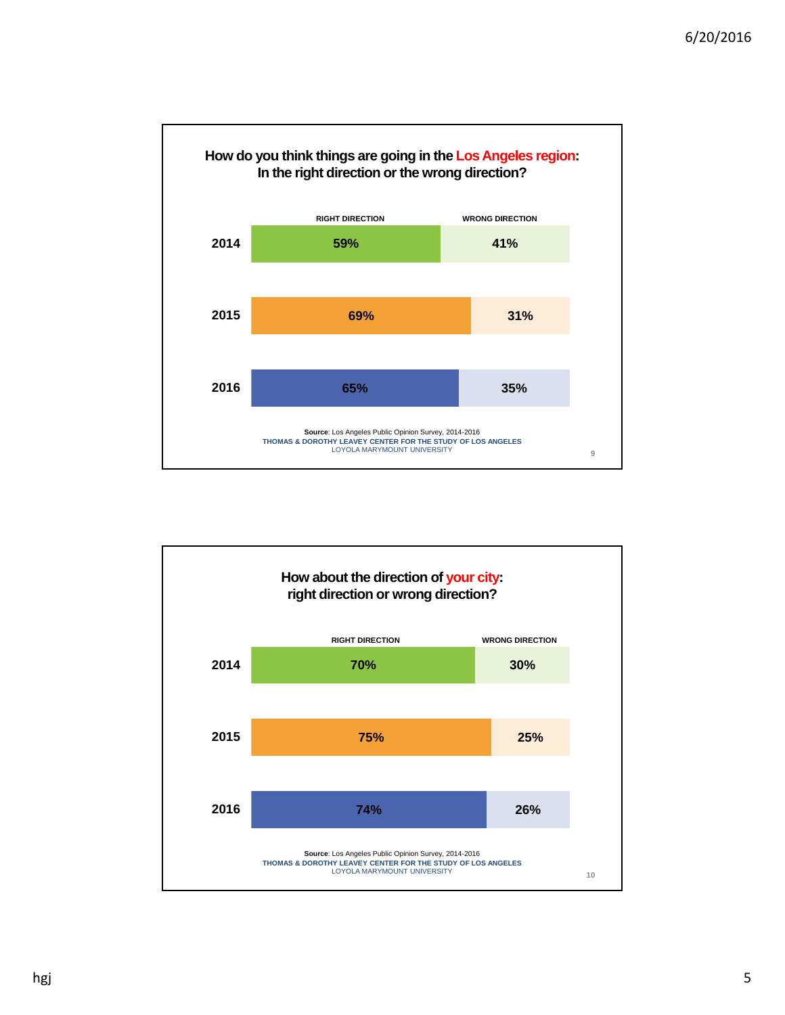

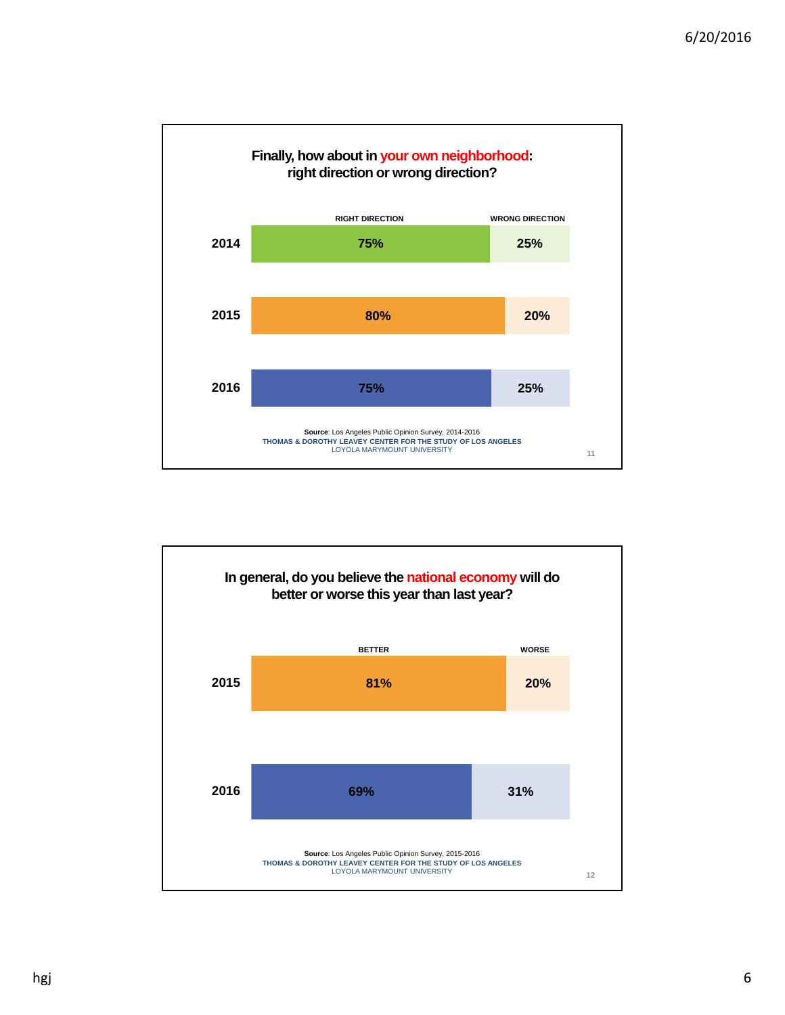

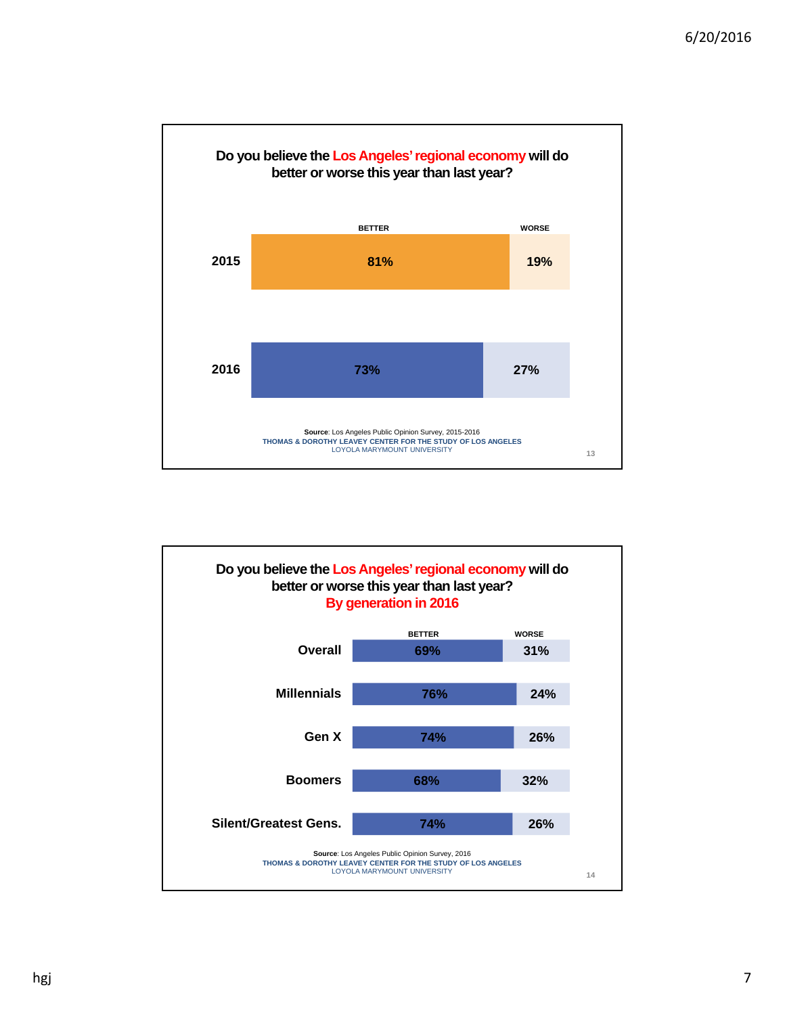

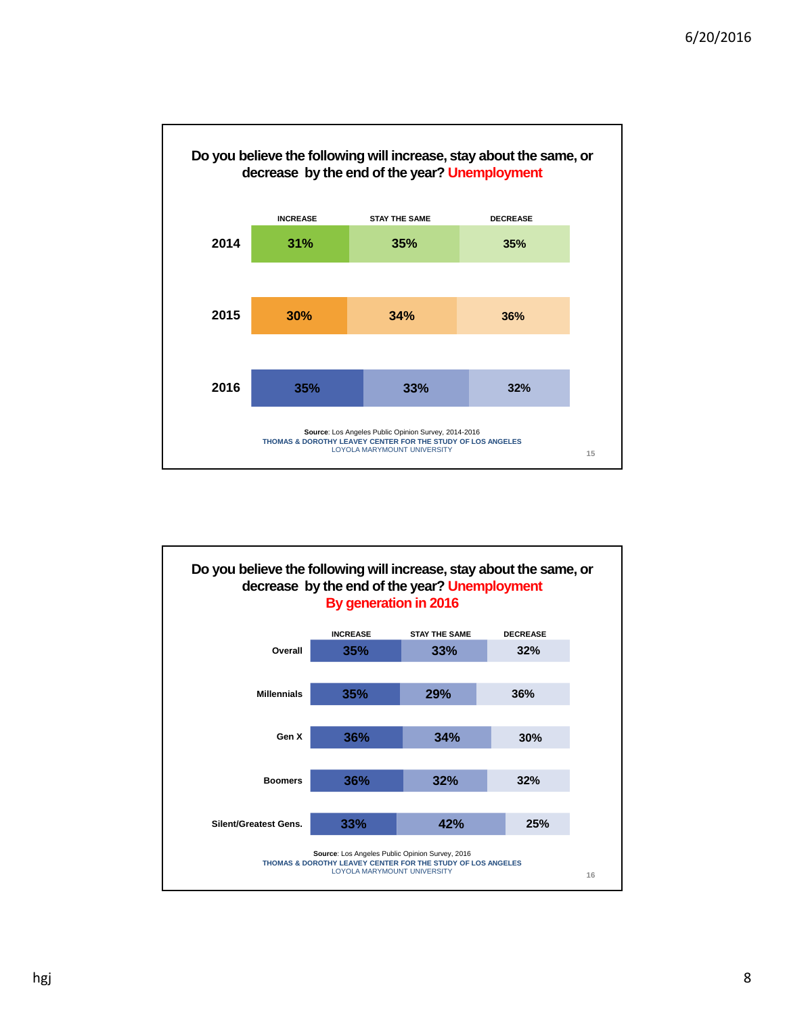

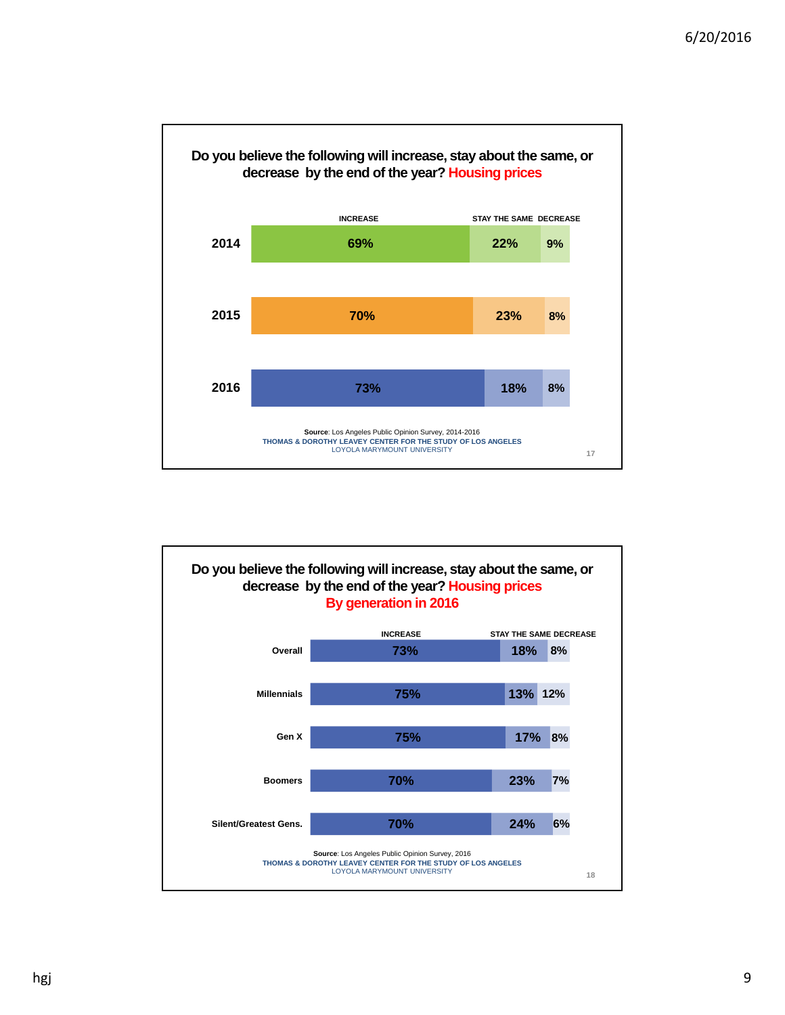

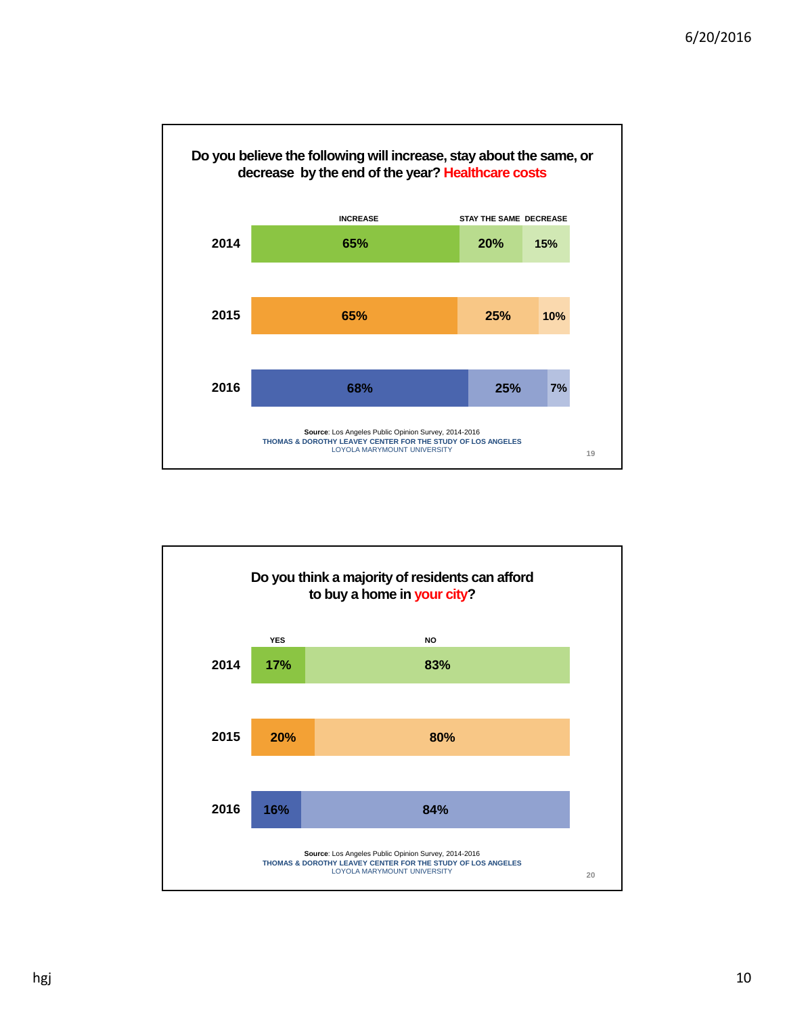

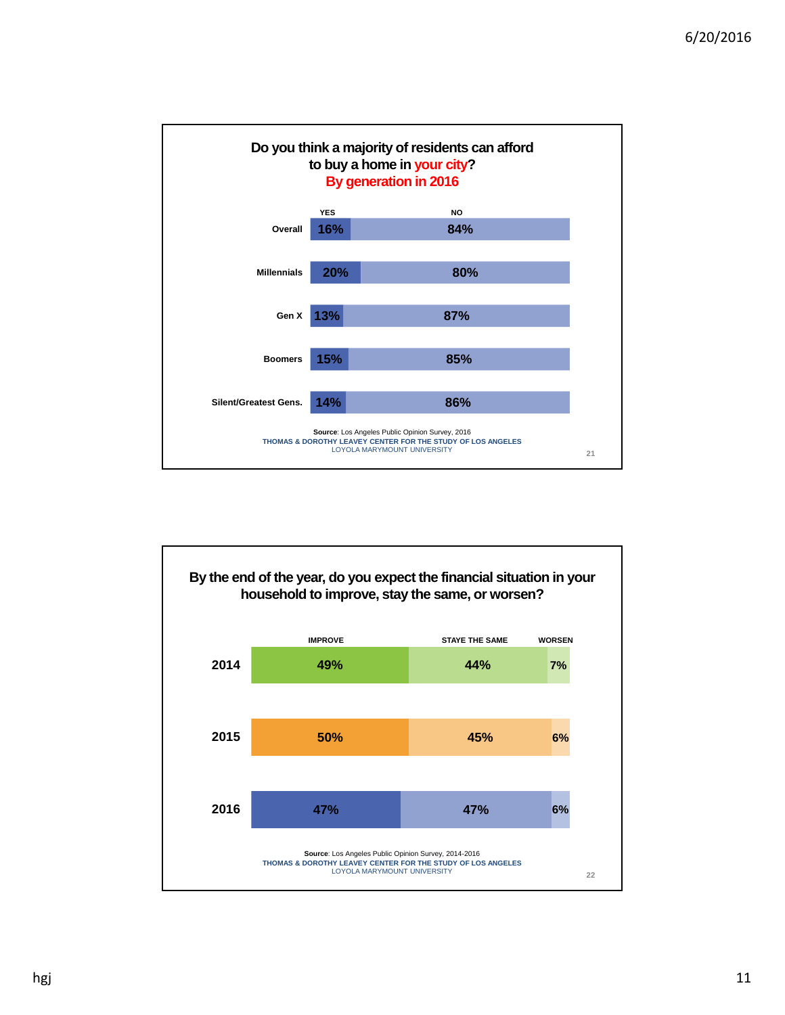

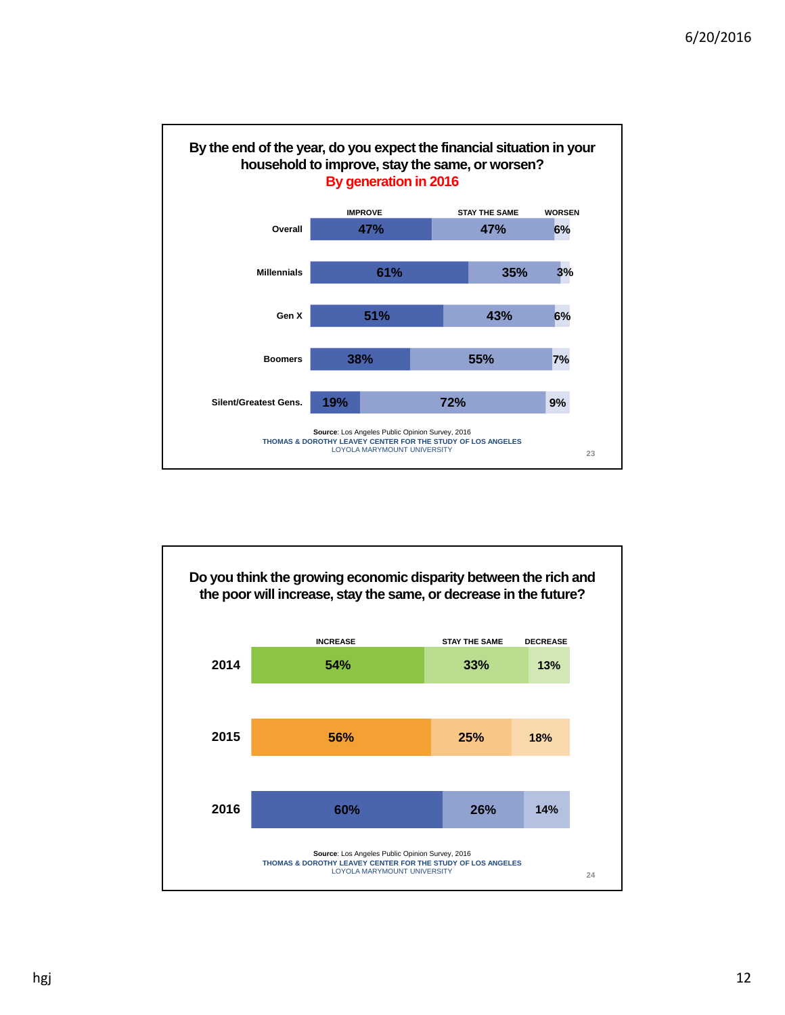

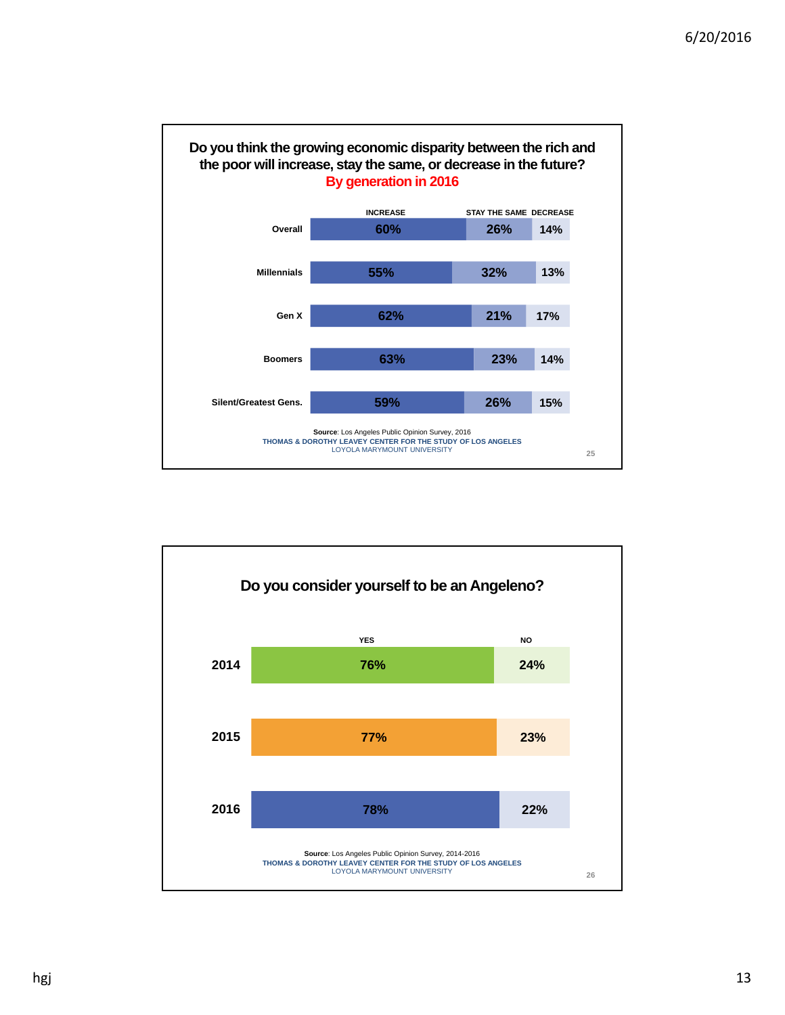

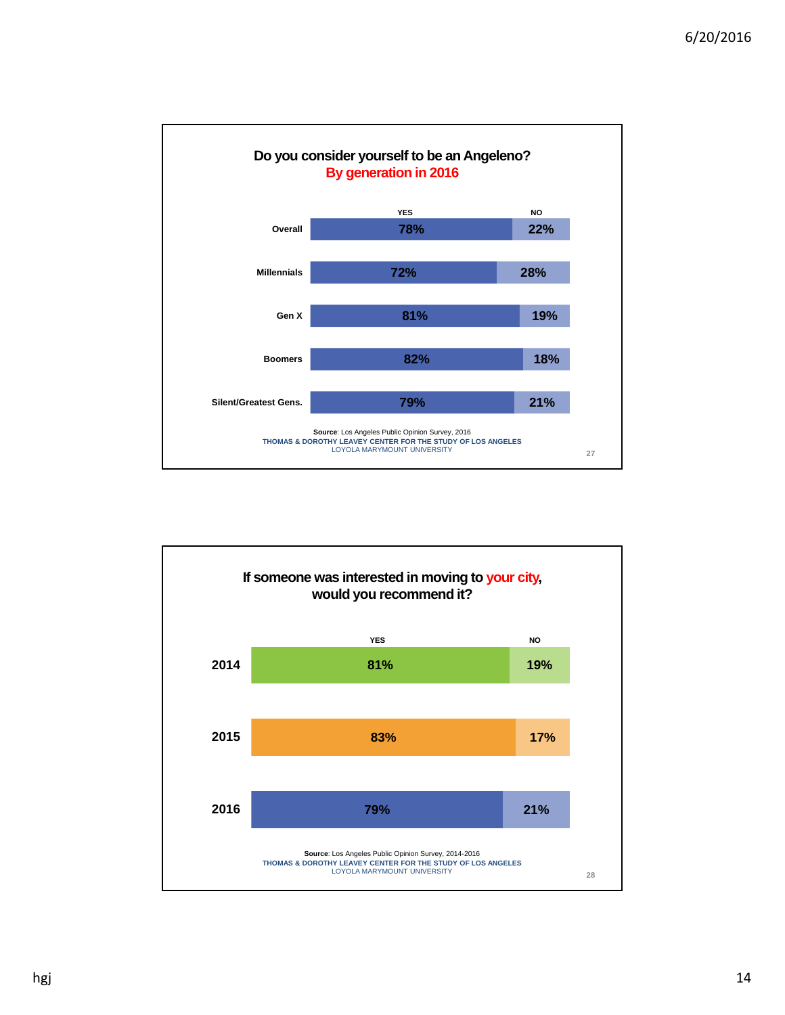

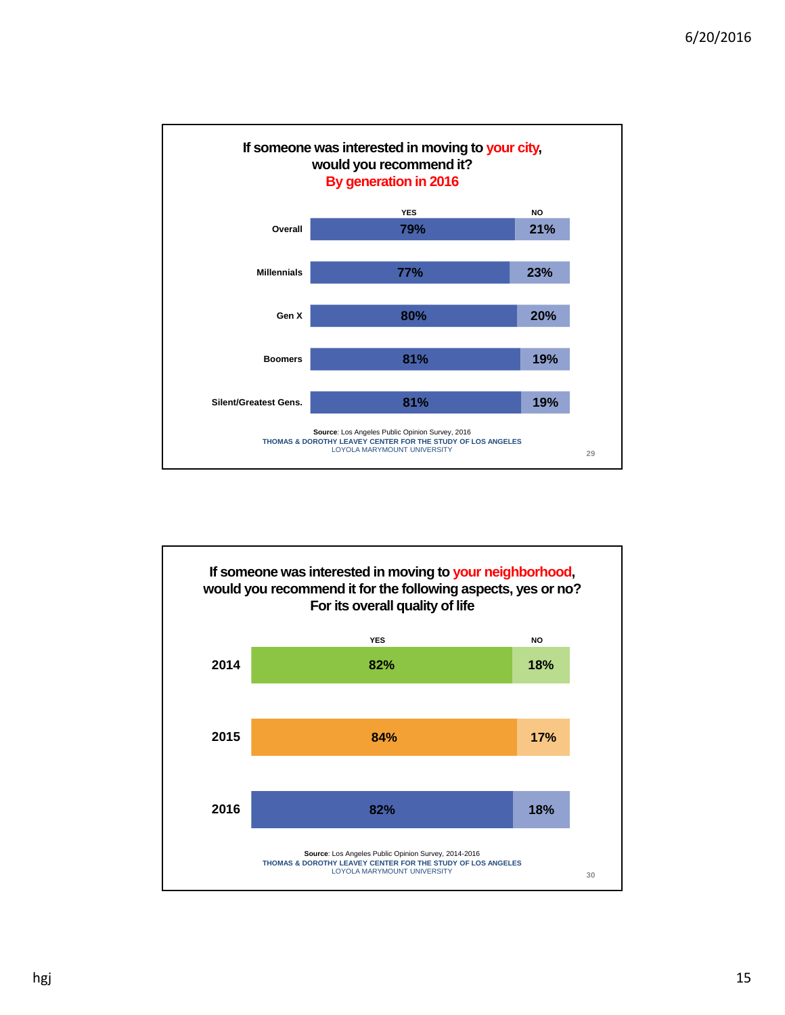

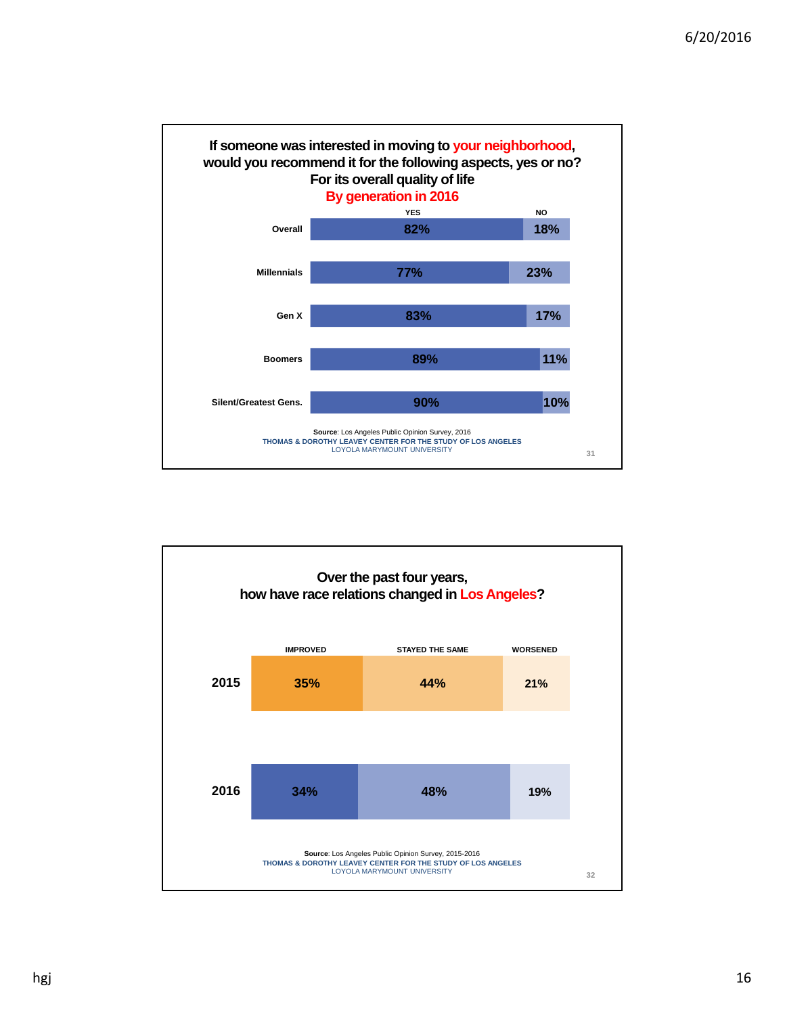

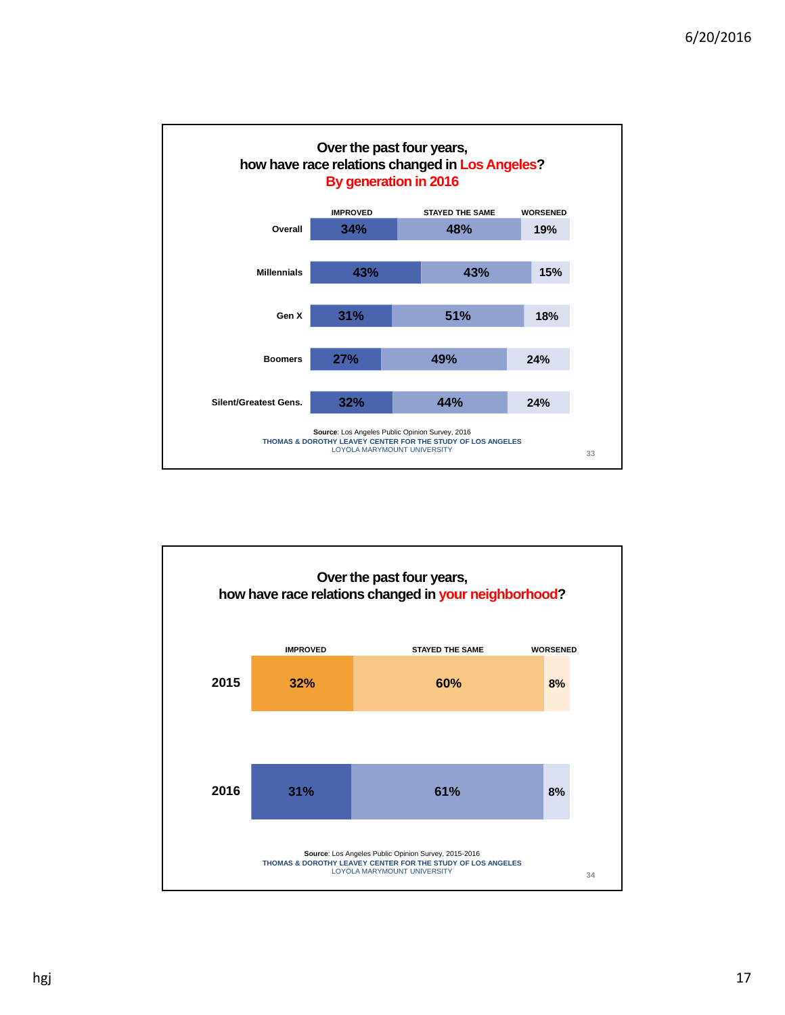